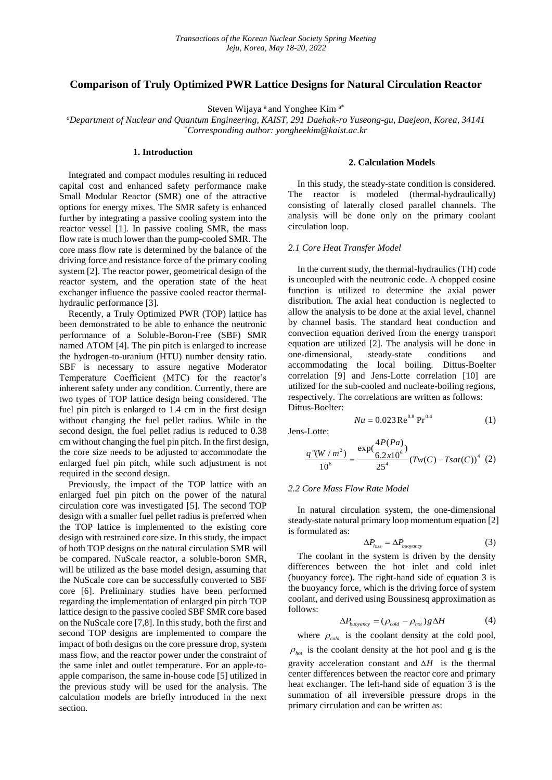# **Comparison of Truly Optimized PWR Lattice Designs for Natural Circulation Reactor**

Steven Wijaya <sup>a</sup> and Yonghee Kim <sup>a\*</sup>

*<sup>a</sup>Department of Nuclear and Quantum Engineering, KAIST, 291 Daehak-ro Yuseong-gu, Daejeon, Korea, 34141* \**Corresponding author: yongheekim@kaist.ac.kr*

# **1. Introduction**

Integrated and compact modules resulting in reduced capital cost and enhanced safety performance make Small Modular Reactor (SMR) one of the attractive options for energy mixes. The SMR safety is enhanced further by integrating a passive cooling system into the reactor vessel [1]. In passive cooling SMR, the mass flow rate is much lower than the pump-cooled SMR. The core mass flow rate is determined by the balance of the driving force and resistance force of the primary cooling system [2]. The reactor power, geometrical design of the reactor system, and the operation state of the heat exchanger influence the passive cooled reactor thermalhydraulic performance [3].

Recently, a Truly Optimized PWR (TOP) lattice has been demonstrated to be able to enhance the neutronic performance of a Soluble-Boron-Free (SBF) SMR named ATOM [4]. The pin pitch is enlarged to increase the hydrogen-to-uranium (HTU) number density ratio. SBF is necessary to assure negative Moderator Temperature Coefficient (MTC) for the reactor's inherent safety under any condition. Currently, there are two types of TOP lattice design being considered. The fuel pin pitch is enlarged to 1.4 cm in the first design without changing the fuel pellet radius. While in the second design, the fuel pellet radius is reduced to 0.38 cm without changing the fuel pin pitch. In the first design, the core size needs to be adjusted to accommodate the enlarged fuel pin pitch, while such adjustment is not required in the second design.

Previously, the impact of the TOP lattice with an enlarged fuel pin pitch on the power of the natural circulation core was investigated [5]. The second TOP design with a smaller fuel pellet radius is preferred when the TOP lattice is implemented to the existing core design with restrained core size. In this study, the impact of both TOP designs on the natural circulation SMR will be compared. NuScale reactor, a soluble-boron SMR, will be utilized as the base model design, assuming that the NuScale core can be successfully converted to SBF core [6]. Preliminary studies have been performed regarding the implementation of enlarged pin pitch TOP lattice design to the passive cooled SBF SMR core based on the NuScale core [7,8]. In this study, both the first and second TOP designs are implemented to compare the impact of both designs on the core pressure drop, system mass flow, and the reactor power under the constraint of the same inlet and outlet temperature. For an apple-toapple comparison, the same in-house code [5] utilized in the previous study will be used for the analysis. The calculation models are briefly introduced in the next section.

# **2. Calculation Models**

In this study, the steady-state condition is considered. The reactor is modeled (thermal-hydraulically) consisting of laterally closed parallel channels. The analysis will be done only on the primary coolant circulation loop.

# *2.1 Core Heat Transfer Model*

In the current study, the thermal-hydraulics (TH) code is uncoupled with the neutronic code. A chopped cosine function is utilized to determine the axial power distribution. The axial heat conduction is neglected to allow the analysis to be done at the axial level, channel by channel basis. The standard heat conduction and convection equation derived from the energy transport equation are utilized [2]. The analysis will be done in one-dimensional, steady-state conditions and accommodating the local boiling. Dittus-Boelter correlation [9] and Jens-Lotte correlation [10] are utilized for the sub-cooled and nucleate-boiling regions, respectively. The correlations are written as follows: Dittus-Boelter:

$$
Nu = 0.023 \,\text{Re}^{0.8} \,\text{Pr}^{0.4} \tag{1}
$$

Jens-Lotte:

$$
\frac{q''(W/m^2)}{10^6} = \frac{\exp(\frac{4P(Pa)}{6.2x10^6})}{25^4} (Tw(C) - Tsat(C))^4
$$
 (2)

#### *2.2 Core Mass Flow Rate Model*

In natural circulation system, the one-dimensional steady-state natural primary loop momentum equation [2] is formulated as:

$$
\Delta P_{loss} = \Delta P_{buoyancy} \tag{3}
$$

The coolant in the system is driven by the density differences between the hot inlet and cold inlet (buoyancy force). The right-hand side of equation 3 is the buoyancy force, which is the driving force of system coolant, and derived using Boussinesq approximation as follows:

$$
\Delta P_{buoyancy} = (\rho_{cold} - \rho_{hot})g\Delta H \tag{4}
$$

where  $\rho_{\text{cold}}$  is the coolant density at the cold pool,

 $\rho_{hot}$  is the coolant density at the hot pool and g is the gravity acceleration constant and  $\Delta H$  is the thermal center differences between the reactor core and primary heat exchanger. The left-hand side of equation 3 is the summation of all irreversible pressure drops in the primary circulation and can be written as: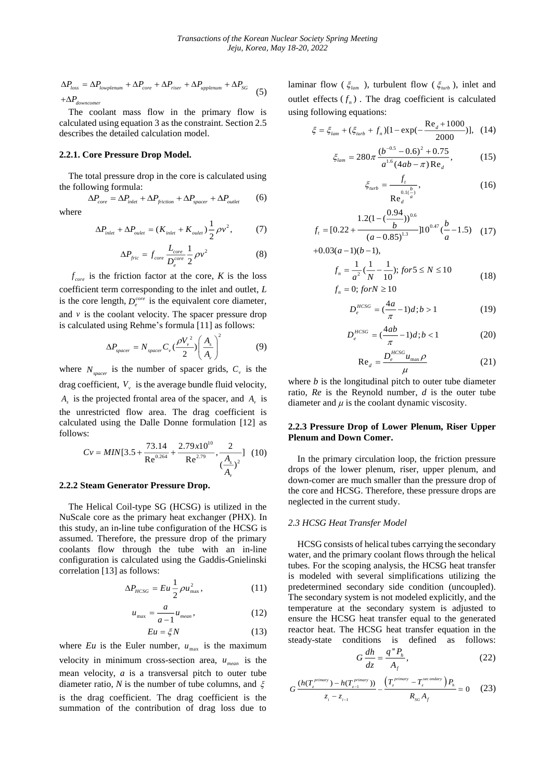$$
\Delta P_{loss} = \Delta P_{lowplement} + \Delta P_{core} + \Delta P_{riser} + \Delta P_{upplement} + \Delta P_{SG}
$$
  
+ $\Delta P_{downcorner}$  (5)

The coolant mass flow in the primary flow is calculated using equation 3 as the constraint. Section 2.5 describes the detailed calculation model.

# **2.2.1. Core Pressure Drop Model.**

where

The total pressure drop in the core is calculated using the following formula:

$$
\Delta P_{core} = \Delta P_{inlet} + \Delta P_{friction} + \Delta P_{spacer} + \Delta P_{outlet}
$$
 (6)

$$
\Delta P_{\text{inlet}} + \Delta P_{\text{oulet}} = (K_{\text{inlet}} + K_{\text{oulet}}) \frac{1}{2} \rho v^2, \tag{7}
$$

$$
\Delta P_{fric} = f_{core} \frac{L_{core}}{D_e^{core}} \frac{1}{2} \rho v^2
$$
 (8)

 $f_{\text{core}}$  is the friction factor at the core, *K* is the loss coefficient term corresponding to the inlet and outlet, *L* is the core length,  $D_e^{core}$  is the equivalent core diameter, and  $\nu$  is the coolant velocity. The spacer pressure drop is calculated using Rehme's formula [11] as follows:

$$
\Delta P_{spacer} = N_{spacer} C_v \left(\frac{\rho V_v^2}{2}\right) \left(\frac{A_s}{A_v}\right)^2 \tag{9}
$$

where  $N_{\text{space}}$  is the number of spacer grids,  $C_{\text{v}}$  is the drag coefficient,  $V_{\nu}$  is the average bundle fluid velocity,  $A_s$  is the projected frontal area of the spacer, and  $A_v$  is the unrestricted flow area. The drag coefficient is calculated using the Dalle Donne formulation [12] as follows:

$$
Cv = MIN[3.5 + \frac{73.14}{Re^{0.264}} + \frac{2.79 \times 10^{10}}{Re^{2.79}}, \frac{2}{(\frac{A_s}{A})^2}] (10)
$$

#### **2.2.2 Steam Generator Pressure Drop.**

The Helical Coil-type SG (HCSG) is utilized in the NuScale core as the primary heat exchanger (PHX). In this study, an in-line tube configuration of the HCSG is assumed. Therefore, the pressure drop of the primary coolants flow through the tube with an in-line configuration is calculated using the Gaddis-Gnielinski correlation [13] as follows:

$$
\Delta P_{HCSG} = Eu \frac{1}{2} \rho u_{\text{max}}^2, \qquad (11)
$$

*v*

$$
u_{\max} = \frac{a}{a-1} u_{\text{mean}},
$$
\n
$$
Eu = \xi N \tag{12}
$$

where  $Eu$  is the Euler number,  $u_{\text{max}}$  is the maximum velocity in minimum cross-section area,  $u_{mean}$  is the mean velocity, *a* is a transversal pitch to outer tube diameter ratio, N is the number of tube columns, and  $\xi$ is the drag coefficient. The drag coefficient is the summation of the contribution of drag loss due to

laminar flow ( $\xi_{lam}$ ), turbulent flow ( $\xi_{u\nu}$ ), inlet and outlet effects  $(f_n)$ . The drag coefficient is calculated using following equations:

$$
\xi = \xi_{lam} + (\xi_{turb} + f_n)[1 - \exp(-\frac{\text{Re}_d + 1000}{2000})], \tag{14}
$$

$$
\xi_{lam} = 280\pi \frac{(b^{-0.5} - 0.6)^2 + 0.75}{a^{1.6} (4ab - \pi) \text{Re}_d},\tag{15}
$$

$$
\xi_{turb} = \frac{f_t}{\text{Re}_t \frac{0.1(\frac{b}{a})}{a}},\tag{16}
$$

$$
f_t = [0.22 + \frac{1.2(1 - (\frac{0.94}{b}))^{0.6}}{(a - 0.85)^{1.3}}]10^{0.47}(\frac{b}{a} - 1.5)
$$
 (17)

*d*

 $+0.03(a-1)(b-1),$ 

*n*

$$
f_n = \frac{1}{a^2} (\frac{1}{N} - \frac{1}{10}); \text{ for } 5 \le N \le 10
$$
  
\n
$$
f_n = 0; \text{ for } N \ge 10
$$
\n(18)

$$
D_e^{HCSG} = \left(\frac{4a}{\pi} - 1\right)d; b > 1\tag{19}
$$

$$
D_e^{HCSG} = \left(\frac{4ab}{\pi} - 1\right)d; b < 1\tag{20}
$$

$$
\text{Re}_d = \frac{D_e^{HCSG} u_{\text{max}} \rho}{\mu} \tag{21}
$$

where *b* is the longitudinal pitch to outer tube diameter ratio, *Re* is the Reynold number, *d* is the outer tube diameter and  $\mu$  is the coolant dynamic viscosity.

# **2.2.3 Pressure Drop of Lower Plenum, Riser Upper Plenum and Down Comer.**

In the primary circulation loop, the friction pressure drops of the lower plenum, riser, upper plenum, and down-comer are much smaller than the pressure drop of the core and HCSG. Therefore, these pressure drops are neglected in the current study.

### *2.3 HCSG Heat Transfer Model*

HCSG consists of helical tubes carrying the secondary water, and the primary coolant flows through the helical tubes. For the scoping analysis, the HCSG heat transfer is modeled with several simplifications utilizing the predetermined secondary side condition (uncoupled). The secondary system is not modeled explicitly, and the temperature at the secondary system is adjusted to ensure the HCSG heat transfer equal to the generated reactor heat. The HCSG heat transfer equation in the steady-state conditions is defined as follows:

$$
G\frac{dh}{dz} = \frac{q''P_h}{A_f},\qquad(22)
$$

$$
G \frac{(h(T_z^{\text{primary}}) - h(T_{z-1}^{\text{primary}}))}{z_i - z_{i-1}} - \frac{\left(T_z^{\text{primary}} - T_z^{\text{secondary}}\right)P_h}{R_{SG}A_f} \approx 0 \quad (23)
$$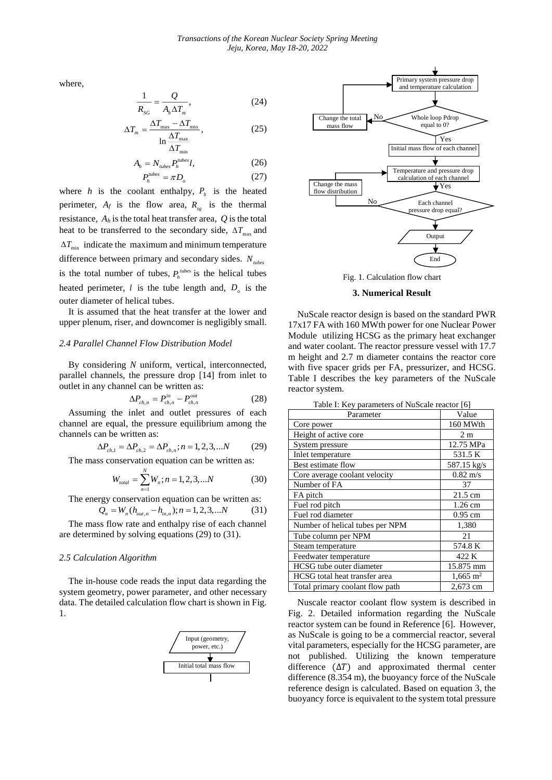where,

$$
\frac{1}{R_{SG}} = \frac{Q}{A_h \Delta T_m},\tag{24}
$$

$$
\Delta T_m = \frac{\Delta T_{\text{max}} - \Delta T_{\text{min}}}{\ln \frac{\Delta T_{\text{max}}}{\Delta T_{\text{max}}}},
$$
\n(25)

$$
\Delta T_{\min} \n Ah = Nubes Phtubes l,
$$
\n(26)  
\n
$$
Phtubes = \pi Do
$$
\n(27)

where *h* is the coolant enthalpy,  $P_h$  is the heated perimeter,  $A_f$  is the flow area,  $R_{sg}$  is the thermal resistance, *A<sup>h</sup>* is the total heat transfer area, *Q* is the total heat to be transferred to the secondary side,  $\Delta T_{\text{max}}$  and  $\Delta T_{\text{min}}$  indicate the maximum and minimum temperature difference between primary and secondary sides. *<sup>N</sup>tubes* is the total number of tubes,  $P_h^{\text{tubes}}$  is the helical tubes heated perimeter,  $l$  is the tube length and,  $D_{\rho}$  is the outer diameter of helical tubes.

It is assumed that the heat transfer at the lower and upper plenum, riser, and downcomer is negligibly small.

# *2.4 Parallel Channel Flow Distribution Model*

By considering *N* uniform, vertical, interconnected, parallel channels, the pressure drop [14] from inlet to outlet in any channel can be written as:

$$
\Delta P_{ch,n} = P_{ch,n}^{in} - P_{ch,n}^{out} \tag{28}
$$

Assuming the inlet and outlet pressures of each channel are equal, the pressure equilibrium among the channels can be written as:

$$
\Delta P_{ch,1} = \Delta P_{ch,2} = \Delta P_{ch,n}; n = 1, 2, 3, \dots N \tag{29}
$$

The mass conservation equation can be written as:

$$
W_{total} = \sum_{n=1}^{N} W_n; n = 1, 2, 3, \dots N \tag{30}
$$

The energy conservation equation can be written as:

$$
Q_n = W_n(h_{out,n} - h_{in,n}); n = 1, 2, 3, \dots N \tag{31}
$$

The mass flow rate and enthalpy rise of each channel are determined by solving equations (29) to (31).

#### *2.5 Calculation Algorithm*

The in-house code reads the input data regarding the system geometry, power parameter, and other necessary data. The detailed calculation flow chart is shown in Fig. 1.





Fig. 1. Calculation flow chart

#### **3. Numerical Result**

NuScale reactor design is based on the standard PWR 17x17 FA with 160 MWth power for one Nuclear Power Module utilizing HCSG as the primary heat exchanger and water coolant. The reactor pressure vessel with 17.7 m height and 2.7 m diameter contains the reactor core with five spacer grids per FA, pressurizer, and HCSG. Table I describes the key parameters of the NuScale reactor system.

| Table I: Key parameters of NuScale reactor [6] |  |
|------------------------------------------------|--|
|------------------------------------------------|--|

| Parameter                       | Value                   |
|---------------------------------|-------------------------|
| Core power                      | 160 MWth                |
| Height of active core           | 2m                      |
| System pressure                 | 12.75 MPa               |
| Inlet temperature               | 531.5 K                 |
| Best estimate flow              | 587.15 kg/s             |
| Core average coolant velocity   | $0.82 \text{ m/s}$      |
| Number of FA                    | 37                      |
| FA pitch                        | $21.5 \text{ cm}$       |
| Fuel rod pitch                  | 1.26 cm                 |
| Fuel rod diameter               | $0.95$ cm               |
| Number of helical tubes per NPM | 1,380                   |
| Tube column per NPM             | 21                      |
| Steam temperature               | 574.8 K                 |
| Feedwater temperature           | 422 K                   |
| HCSG tube outer diameter        | 15.875 mm               |
| HCSG total heat transfer area   | $1,665 \; \mathrm{m}^2$ |
| Total primary coolant flow path | 2,673 cm                |

Nuscale reactor coolant flow system is described in Fig. 2. Detailed information regarding the NuScale reactor system can be found in Reference [6]. However, as NuScale is going to be a commercial reactor, several vital parameters, especially for the HCSG parameter, are not published. Utilizing the known temperature difference  $(\Delta T)$  and approximated thermal center difference (8.354 m), the buoyancy force of the NuScale reference design is calculated. Based on equation 3, the buoyancy force is equivalent to the system total pressure